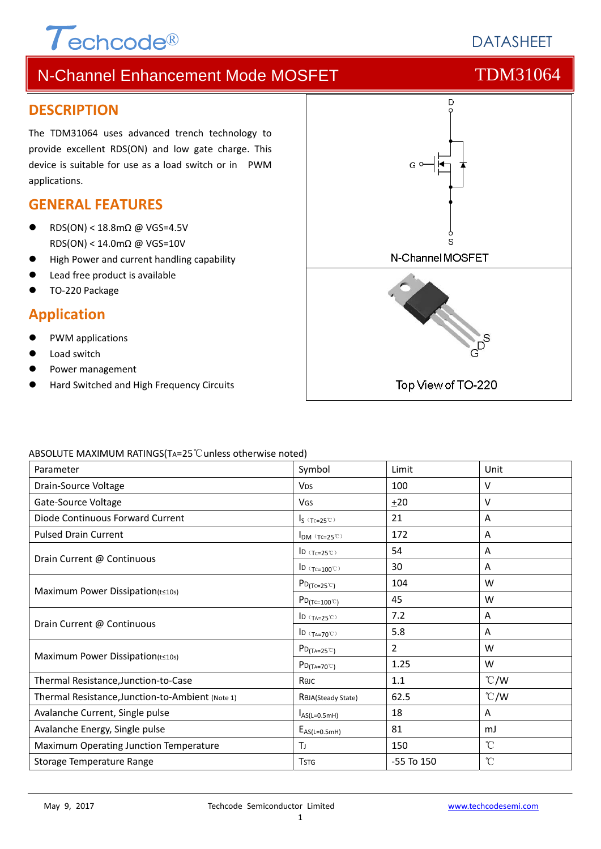# $\tau$ <sub>echcode®</sub>

# N-Channel Enhancement Mode MOSFET TOM31064

### **DESCRIPTION**

The TDM31064 uses advanced trench technology to provide excellent RDS(ON) and low gate charge. This device is suitable for use as a load switch or in PWM applications.

# **GENERAL FEATURES**

- RDS(ON) < 18.8mΩ @ VGS=4.5V RDS(ON) < 14.0mΩ @ VGS=10V
- High Power and current handling capability
- Lead free product is available
- TO‐220 Package

## **Application**

- PWM applications
- Load switch
- Power management
- Hard Switched and High Frequency Circuits



#### ABSOLUTE MAXIMUM RATINGS(TA=25℃unless otherwise noted)

| Parameter                                        | Symbol                                                             | Limit          | Unit            |
|--------------------------------------------------|--------------------------------------------------------------------|----------------|-----------------|
| Drain-Source Voltage                             | <b>V<sub>DS</sub></b>                                              | 100            | V               |
| Gate-Source Voltage                              | <b>V<sub>GS</sub></b>                                              | ±20            | V               |
| Diode Continuous Forward Current                 | $I_S$ (Tc=25°C)                                                    | 21             | Α               |
| <b>Pulsed Drain Current</b>                      | $I_{DM}$ (Tc=25°C)                                                 | 172            | Α               |
| Drain Current @ Continuous                       | ID $(Tc=25^\circ\text{C})$                                         | 54             | Α               |
|                                                  | ID $(Tc=100^{\circ}C)$                                             | 30             | Α               |
|                                                  | $P_{D(Tc=25\degree\degree)}$                                       | 104            | W               |
| Maximum Power Dissipation(t≤10s)                 | $P_{D(Tc=100^{\circ}C)}$                                           | 45             | W               |
|                                                  | ID $(T_{A=25}^\circ\text{C})$                                      | 7.2            | Α               |
| Drain Current @ Continuous                       | $\mathsf{ID}(\mathsf{T}_{\mathsf{A}=\mathsf{70}^\circ\mathsf{C}})$ | 5.8            | A               |
| Maximum Power Dissipation(t≤10s)                 | $P_{D(TA=25^{\circ}C)}$                                            | 2              | W               |
|                                                  | $P_{D(T_A=70^{\circ}C)}$                                           | 1.25           | W               |
| Thermal Resistance, Junction-to-Case             | Көлс                                                               | 1.1            | $\degree$ C/W   |
| Thermal Resistance, Junction-to-Ambient (Note 1) | ROJA(Steady State)                                                 | 62.5           | $\degree$ C/W   |
| Avalanche Current, Single pulse                  | $I_{AS(L=0.5mH)}$                                                  | 18             | Α               |
| Avalanche Energy, Single pulse                   | $E_{AS(L=0.5mH)}$                                                  | 81             | mJ              |
| Maximum Operating Junction Temperature           | Tı.                                                                | 150            | $^{\circ}$ C    |
| Storage Temperature Range                        | <b>T</b> <sub>STG</sub>                                            | $-55$ To $150$ | $\rm ^{\circ}C$ |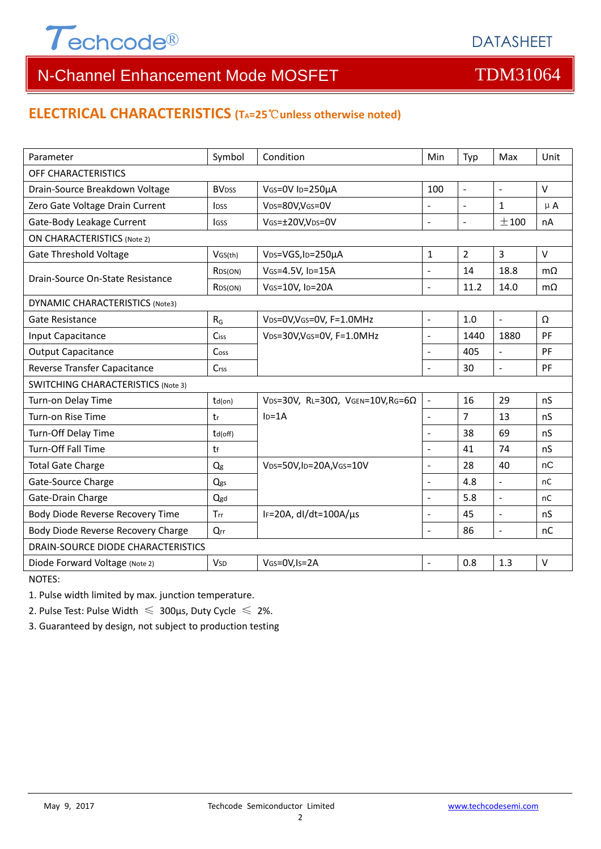

# **ELECTRICAL CHARACTERISTICS (TA=25**℃**unless otherwise noted)**

| Parameter                                 | Symbol                   | Condition                                         | Min                      | Typ            | Max                      | Unit      |  |  |
|-------------------------------------------|--------------------------|---------------------------------------------------|--------------------------|----------------|--------------------------|-----------|--|--|
| OFF CHARACTERISTICS                       |                          |                                                   |                          |                |                          |           |  |  |
| Drain-Source Breakdown Voltage            | <b>BV</b> <sub>DSS</sub> | VGS=0V ID=250µA                                   | 100                      | $\blacksquare$ | $\sim$                   | $\vee$    |  |  |
| Zero Gate Voltage Drain Current           | <b>l</b> <sub>DSS</sub>  | VDS=80V,VGS=0V                                    | $\overline{a}$           | $\blacksquare$ | $\mathbf{1}$             | $\mu$ A   |  |  |
| Gate-Body Leakage Current                 | lgss                     | VGS=±20V,VDS=0V                                   | $\frac{1}{2}$            | $\blacksquare$ | ±100                     | nA        |  |  |
| <b>ON CHARACTERISTICS (Note 2)</b>        |                          |                                                   |                          |                |                          |           |  |  |
| <b>Gate Threshold Voltage</b>             | VGS(th)                  | V <sub>DS</sub> =VGS, I <sub>D</sub> =250µA       | $\mathbf{1}$             | $\overline{2}$ | 3                        | $\vee$    |  |  |
| Drain-Source On-State Resistance          | R <sub>DS</sub> (ON)     | VGS=4.5V, ID=15A                                  | $\overline{a}$           | 14             | 18.8                     | $m\Omega$ |  |  |
|                                           | R <sub>DS</sub> (ON)     | VGS=10V, ID=20A                                   | $\overline{a}$           | 11.2           | 14.0                     | $m\Omega$ |  |  |
| <b>DYNAMIC CHARACTERISTICS (Note3)</b>    |                          |                                                   |                          |                |                          |           |  |  |
| Gate Resistance                           | $R_G$                    | VDS=0V, VGS=0V, F=1.0MHz                          | $\Box$                   | 1.0            | $\omega$                 | Ω         |  |  |
| Input Capacitance                         | Ciss                     | VDS=30V, VGS=0V, F=1.0MHz                         | $\overline{a}$           | 1440           | 1880                     | PF        |  |  |
| <b>Output Capacitance</b>                 | Coss                     |                                                   | L.                       | 405            | $\overline{\phantom{a}}$ | PF        |  |  |
| Reverse Transfer Capacitance              | Crss                     |                                                   | $\overline{a}$           | 30             | $\sim$                   | PF        |  |  |
| <b>SWITCHING CHARACTERISTICS (Note 3)</b> |                          |                                                   |                          |                |                          |           |  |  |
| Turn-on Delay Time                        | td(on)                   | VDS=30V, RL=30 $\Omega$ , VGEN=10V, RG=6 $\Omega$ | $\Box$                   | 16             | 29                       | nS        |  |  |
| Turn-on Rise Time                         | tr                       | $ID=1A$                                           | $\blacksquare$           | $\overline{7}$ | 13                       | nS        |  |  |
| Turn-Off Delay Time                       | td(off)                  |                                                   | $\overline{a}$           | 38             | 69                       | nS        |  |  |
| <b>Turn-Off Fall Time</b>                 | tf                       |                                                   | $\blacksquare$           | 41             | 74                       | nS        |  |  |
| <b>Total Gate Charge</b>                  | Q <sub>g</sub>           | VDS=50V,ID=20A,VGS=10V                            | $\overline{a}$           | 28             | 40                       | nC        |  |  |
| Gate-Source Charge                        | Qgs                      |                                                   | $\blacksquare$           | 4.8            | $\overline{\phantom{a}}$ | nC        |  |  |
| Gate-Drain Charge                         | Qgd                      |                                                   | $\overline{\phantom{a}}$ | 5.8            | $\mathbf{r}$             | nC        |  |  |
| Body Diode Reverse Recovery Time          | Trr                      | IF=20A, $dl/dt=100A/\mu s$                        | $\overline{a}$           | 45             | $\blacksquare$           | nS        |  |  |
| Body Diode Reverse Recovery Charge        | $Q_{rr}$                 |                                                   | $\overline{\phantom{a}}$ | 86             | $\overline{\phantom{a}}$ | nC        |  |  |
| <b>DRAIN-SOURCE DIODE CHARACTERISTICS</b> |                          |                                                   |                          |                |                          |           |  |  |
| Diode Forward Voltage (Note 2)            | <b>V<sub>SD</sub></b>    | VGS=0V, Is=2A                                     |                          | 0.8            | 1.3                      | $\vee$    |  |  |

NOTES:

1. Pulse width limited by max. junction temperature.

2. Pulse Test: Pulse Width  $\leq 300$ μs, Duty Cycle  $\leq 2\%$ .

3. Guaranteed by design, not subject to production testing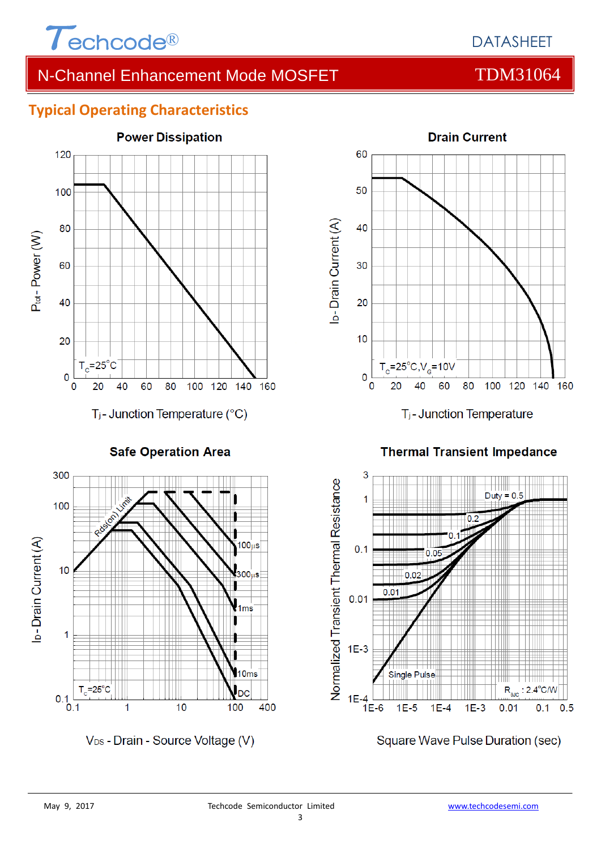

# **Typical Operating Characteristics**



**Safe Operation Area** 



V<sub>DS</sub> - Drain - Source Voltage (V)



T<sub>i</sub>-Junction Temperature

**Thermal Transient Impedance** 



Square Wave Pulse Duration (sec)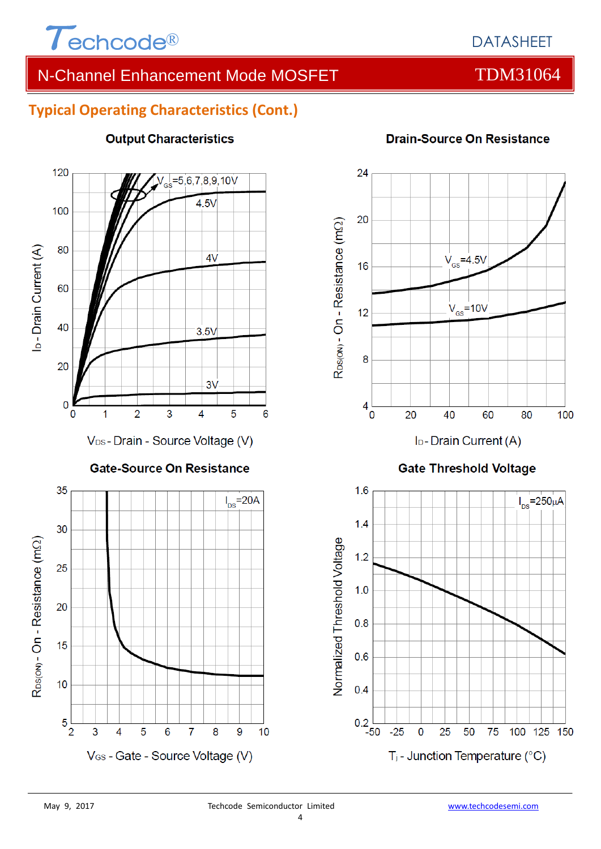

# **Typical Operating Characteristics (Cont.)**



#### **Output Characteristics**

### **Drain-Source On Resistance**



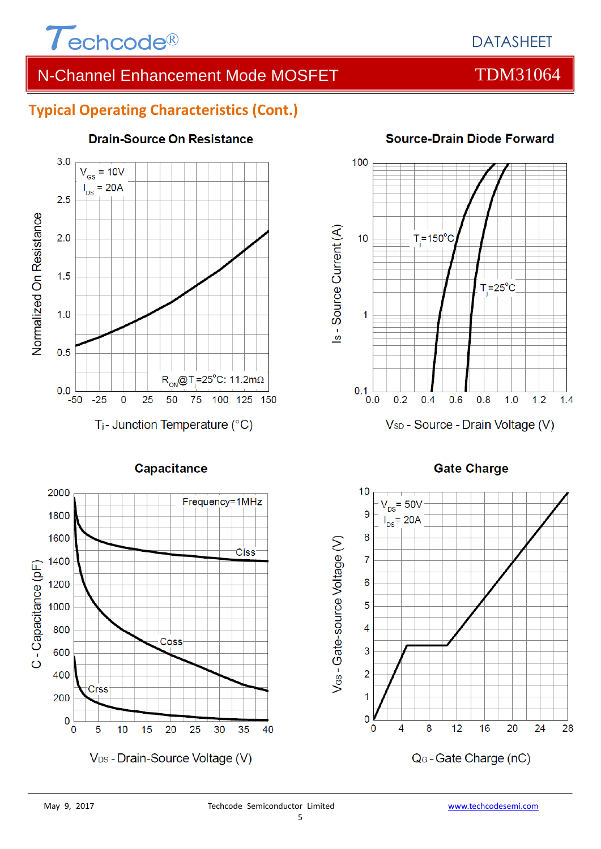

# **Typical Operating Characteristics (Cont.)**



### **Drain-Source On Resistance**



### **Source-Drain Diode Forward**

#### **Gate Charge**

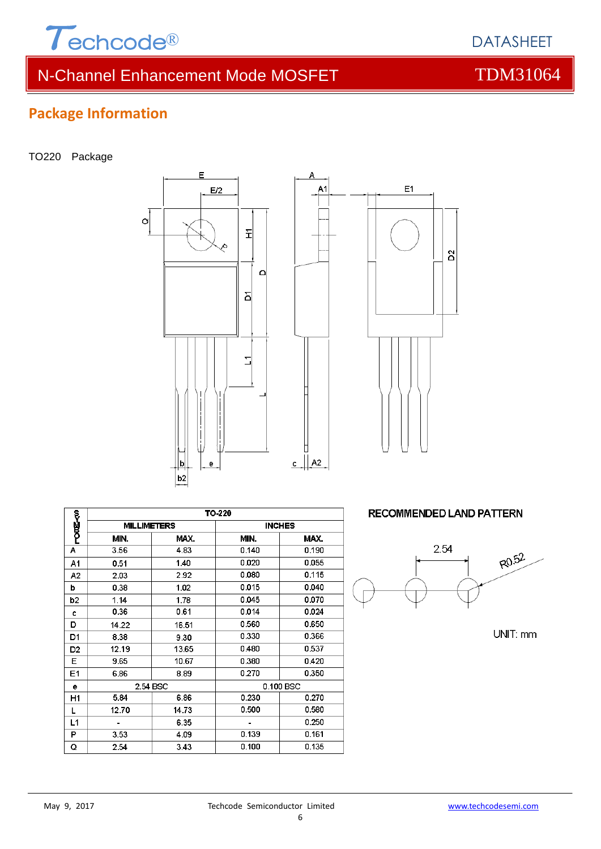

# **Package Information**

TO220 Package





Δ

|             | TO-220             |       |               |       |  |  |
|-------------|--------------------|-------|---------------|-------|--|--|
| ς<br>ΡΟΦΣ≺Ω | <b>MILLIMETERS</b> |       | <b>INCHES</b> |       |  |  |
|             | MIN.               | MAX.  | MIN.          | MAX.  |  |  |
| Α           | 3.56               | 4.83  | 0.140         | 0.190 |  |  |
| A1          | 0.51               | 1.40  | 0.020         | 0.055 |  |  |
| А2          | 2.03               | 2.92  | 0.080         | 0.115 |  |  |
| b           | 0.38               | 1.02  | 0.015         | 0.040 |  |  |
| b2          | 1.14               | 1.78  | 0.045         | 0.070 |  |  |
| c           | 0.36               | 0.61  | 0.014         | 0.024 |  |  |
| D           | 14.22              | 16.51 | 0.560         | 0.650 |  |  |
| D1          | 8.38               | 9.30  | 0.330         | 0.366 |  |  |
| D2          | 12.19              | 13.65 | 0.480         | 0.537 |  |  |
| Е           | 9.65               | 10.67 | 0.380         | 0.420 |  |  |
| E1          | 6.86               | 8.89  | 0.270         | 0.350 |  |  |
| е           | 2.54 BSC           |       | 0.100 BSC     |       |  |  |
| H1          | 5.84               | 6.86  | 0.230         | 0.270 |  |  |
| L           | 12.70              | 14.73 | 0.500         | 0.580 |  |  |
| L1          |                    | 6.35  |               | 0.250 |  |  |
| Р           | 3.53               | 4.09  | 0.139         | 0.161 |  |  |
| Q           | 2.54               | 3.43  | 0.100         | 0.135 |  |  |

**RECOMMENDED LAND PATTERN** 



UNIT: mm

DATASHEET